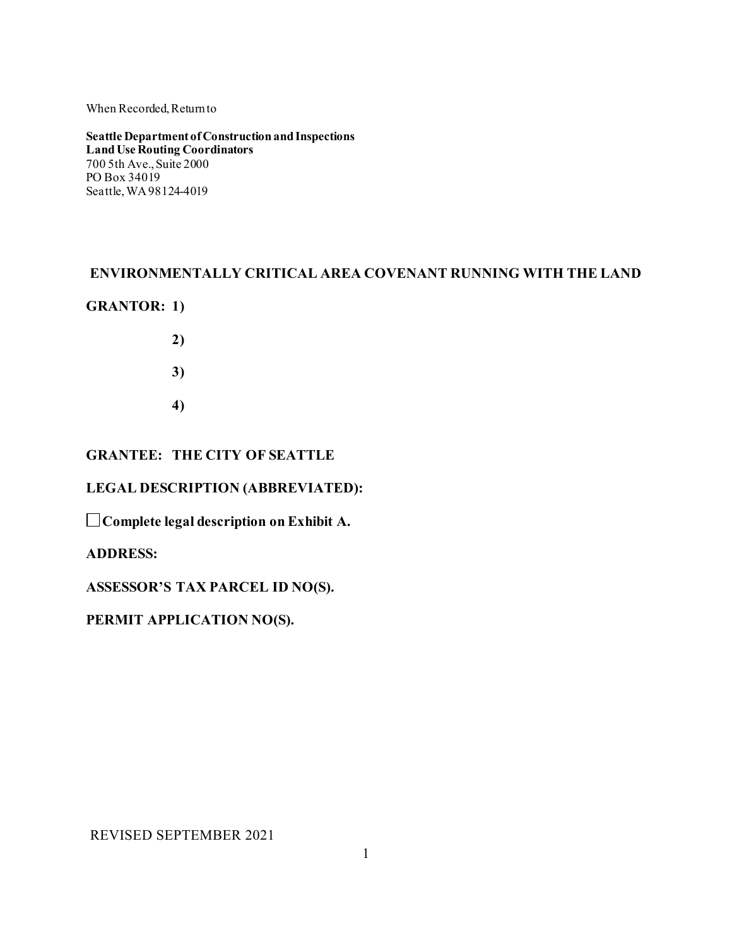#### When Recorded, Return to

**Seattle Department of Construction and Inspections Land Use Routing Coordinators** 700 5th Ave., Suite 2000 PO Box 34019 Seattle, WA 98124-4019

# **ENVIRONMENTALLY CRITICAL AREA COVENANT RUNNING WITH THE LAND**

#### **GRANTOR: 1)**

- **2)**
- **3)**
- **4)**

# **GRANTEE: THE CITY OF SEATTLE**

#### **LEGAL DESCRIPTION (ABBREVIATED):**

**Complete legal description on Exhibit A.** 

#### **ADDRESS:**

**ASSESSOR'S TAX PARCEL ID NO(S).** 

# **PERMIT APPLICATION NO(S).**

REVISED SEPTEMBER 2021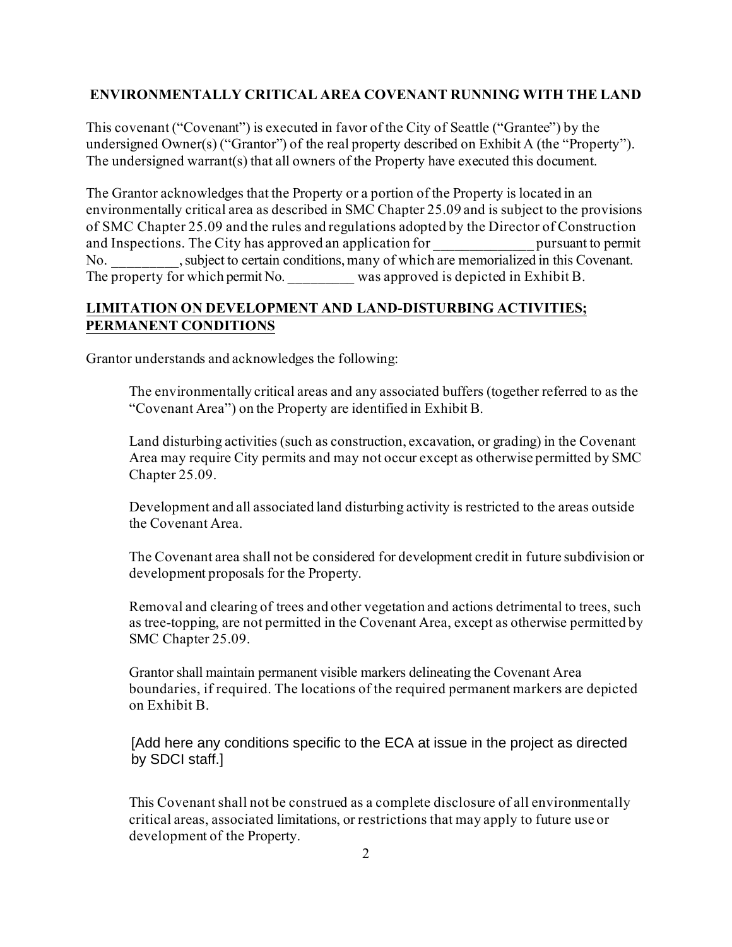#### **ENVIRONMENTALLY CRITICAL AREA COVENANT RUNNING WITH THE LAND**

This covenant ("Covenant") is executed in favor of the City of Seattle ("Grantee") by the undersigned Owner(s) ("Grantor") of the real property described on Exhibit A (the "Property"). The undersigned warrant( $s$ ) that all owners of the Property have executed this document.

The Grantor acknowledges that the Property or a portion of the Property is located in an environmentally critical area as described in SMC Chapter 25.09 and is subject to the provisions of SMC Chapter 25.09 and the rules and regulations adopted by the Director of Construction and Inspections. The City has approved an application for pursuant to permit No. subject to certain conditions, many of which are memorialized in this Covenant. The property for which permit No. was approved is depicted in Exhibit B.

# **LIMITATION ON DEVELOPMENT AND LAND-DISTURBING ACTIVITIES; PERMANENT CONDITIONS**

Grantor understands and acknowledges the following:

The environmentally critical areas and any associated buffers (together referred to as the "Covenant Area") on the Property are identified in Exhibit B.

Land disturbing activities (such as construction, excavation, or grading) in the Covenant Area may require City permits and may not occur except as otherwise permitted by SMC Chapter 25.09.

Development and all associated land disturbing activity is restricted to the areas outside the Covenant Area.

The Covenant area shall not be considered for development credit in future subdivision or development proposals for the Property.

Removal and clearing of trees and other vegetation and actions detrimental to trees, such as tree-topping, are not permitted in the Covenant Area, except as otherwise permitted by SMC Chapter 25.09.

Grantor shall maintain permanent visible markers delineating the Covenant Area boundaries, if required. The locations of the required permanent markers are depicted on Exhibit B.

[Add here any conditions specific to the ECA at issue in the project as directed by SDCI staff.]

This Covenant shall not be construed as a complete disclosure of all environmentally critical areas, associated limitations, or restrictions that may apply to future use or development of the Property.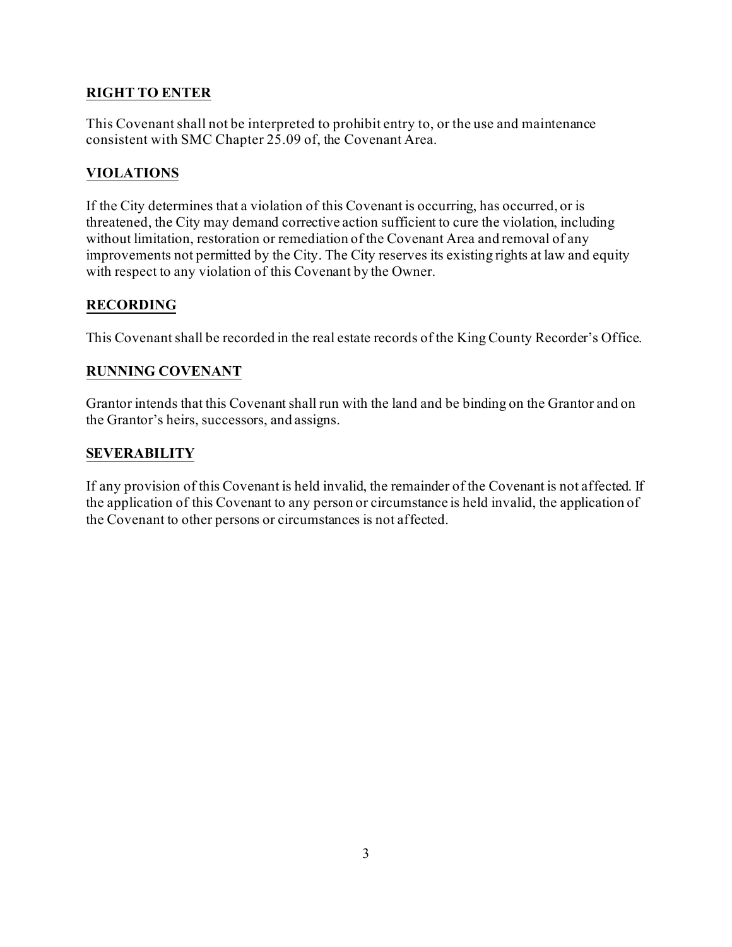# **RIGHT TO ENTER**

This Covenant shall not be interpreted to prohibit entry to, or the use and maintenance consistent with SMC Chapter 25.09 of, the Covenant Area.

# **VIOLATIONS**

If the City determines that a violation of this Covenant is occurring, has occurred, or is threatened, the City may demand corrective action sufficient to cure the violation, including without limitation, restoration or remediation of the Covenant Area and removal of any improvements not permitted by the City. The City reserves its existing rights at law and equity with respect to any violation of this Covenant by the Owner.

# **RECORDING**

This Covenant shall be recorded in the real estate records of the King County Recorder's Office.

# **RUNNING COVENANT**

Grantor intends that this Covenant shall run with the land and be binding on the Grantor and on the Grantor's heirs, successors, and assigns.

# **SEVERABILITY**

If any provision of this Covenant is held invalid, the remainder of the Covenant is not affected. If the application of this Covenant to any person or circumstance is held invalid, the application of the Covenant to other persons or circumstances is not affected.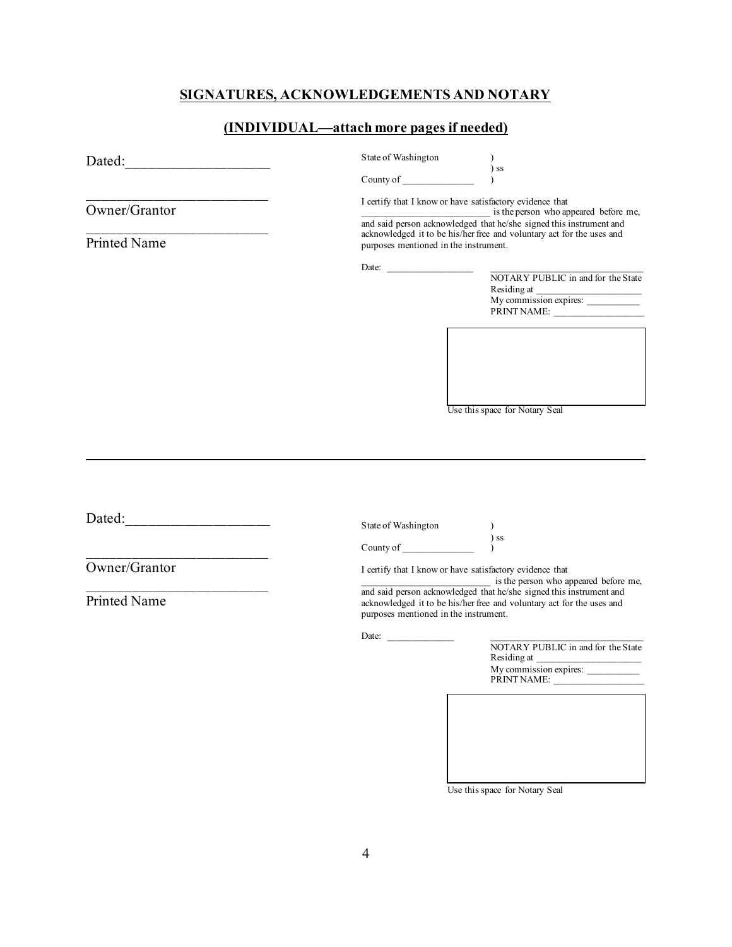# **SIGNATURES, ACKNOWLEDGEMENTS AND NOTARY**

# **(INDIVIDUAL—attach more pages if needed)**

| the control of the control of the control of<br>Owner/Grantor<br>Printed Name | State of Washington<br>County of<br>I certify that I know or have satisfactory evidence that<br>purposes mentioned in the instrument.<br>Date: | $\sum$<br>is the person who appeared before me,<br>and said person acknowledged that he/she signed this instrument and<br>acknowledged it to be his/her free and voluntary act for the uses and<br>NOTARY PUBLIC in and for the State<br>Residing at<br>My commission expires:<br>PRINT NAME: |  |
|-------------------------------------------------------------------------------|------------------------------------------------------------------------------------------------------------------------------------------------|-----------------------------------------------------------------------------------------------------------------------------------------------------------------------------------------------------------------------------------------------------------------------------------------------|--|
|                                                                               |                                                                                                                                                | Use this space for Notary Seal                                                                                                                                                                                                                                                                |  |
|                                                                               | State of Washington                                                                                                                            | ) ss<br>$\lambda$                                                                                                                                                                                                                                                                             |  |
| Owner/Grantor<br><b>Printed Name</b>                                          |                                                                                                                                                | I certify that I know or have satisfactory evidence that<br>is the person who appeared before me,<br>and said person acknowledged that he/she signed this instrument and                                                                                                                      |  |
|                                                                               | purposes mentioned in the instrument.<br>Date:                                                                                                 | acknowledged it to be his/her free and voluntary act for the uses and<br>NOTARY PUBLIC in and for the State<br>Residing at<br>My commission expires:<br>PRINT NAME:                                                                                                                           |  |

Use this space for Notary Seal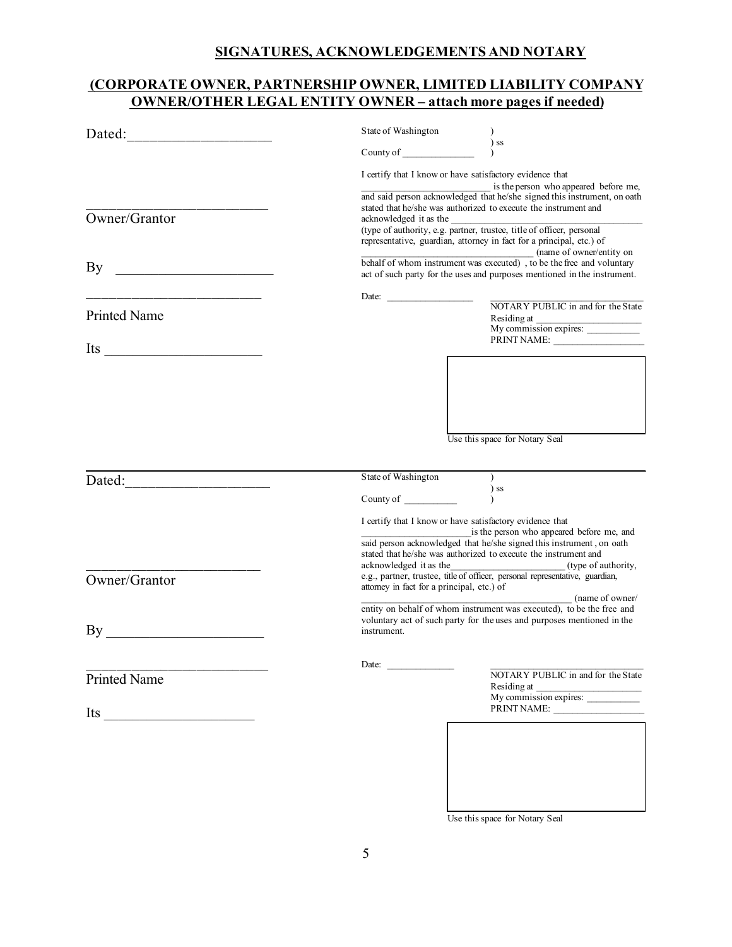#### **SIGNATURES, ACKNOWLEDGEMENTS AND NOTARY**

# **(CORPORATE OWNER, PARTNERSHIP OWNER, LIMITED LIABILITY COMPANY OWNER/OTHER LEGAL ENTITY OWNER – attach more pages if needed)**

| Dated:<br><u> 1980 - Jan Barbarat, manala</u>                                                                                 | State of Washington                                                                                                                                                                                                                                                                                                                                                                                                                                                            | $\lambda$                                                                                  |
|-------------------------------------------------------------------------------------------------------------------------------|--------------------------------------------------------------------------------------------------------------------------------------------------------------------------------------------------------------------------------------------------------------------------------------------------------------------------------------------------------------------------------------------------------------------------------------------------------------------------------|--------------------------------------------------------------------------------------------|
|                                                                                                                               |                                                                                                                                                                                                                                                                                                                                                                                                                                                                                | $\sum$                                                                                     |
| Owner/Grantor                                                                                                                 | I certify that I know or have satisfactory evidence that<br>is the person who appeared before me,<br>and said person acknowledged that he/she signed this instrument, on oath<br>stated that he/she was authorized to execute the instrument and<br>acknowledged it as the<br>documentation of the state of officer, personal and type of authority, e.g. partner, trustee, title of officer, personal<br>representative, guardian, attorney in fact for a principal, etc.) of |                                                                                            |
| By<br><u> 1989 - Johann Barn, mars eta bainar eta industrial eta erromania eta erromania eta erromania eta erromania e</u>    | $\frac{1}{\text{behalf of whom instrument was executed})$ , to be the free and voluntary<br>act of such party for the uses and purposes mentioned in the instrument.                                                                                                                                                                                                                                                                                                           |                                                                                            |
| the control of the control of the control of the control of the control of                                                    | Date: $\qquad \qquad$                                                                                                                                                                                                                                                                                                                                                                                                                                                          | NOTARY PUBLIC in and for the State                                                         |
| <b>Printed Name</b>                                                                                                           |                                                                                                                                                                                                                                                                                                                                                                                                                                                                                | Residing at<br>My commission expires:                                                      |
| Its<br><u> 1989 - Johann John Stoff, deutscher Stoffen und der Stoffen und der Stoffen und der Stoffen und der Stoffen un</u> |                                                                                                                                                                                                                                                                                                                                                                                                                                                                                | PRINT NAME:                                                                                |
|                                                                                                                               |                                                                                                                                                                                                                                                                                                                                                                                                                                                                                | Use this space for Notary Seal                                                             |
| Dated:                                                                                                                        | State of Washington                                                                                                                                                                                                                                                                                                                                                                                                                                                            | $\mathcal{L}$                                                                              |
|                                                                                                                               | County of                                                                                                                                                                                                                                                                                                                                                                                                                                                                      | $)$ ss                                                                                     |
|                                                                                                                               | I certify that I know or have satisfactory evidence that<br>is the person who appeared before me, and<br>said person acknowledged that he/she signed this instrument, on oath<br>stated that he/she was authorized to execute the instrument and<br>acknowledged it as the<br><u>_________________________________</u> (type of authority,                                                                                                                                     |                                                                                            |
| Owner/Grantor                                                                                                                 | e.g., partner, trustee, title of officer, personal representative, guardian,<br>attorney in fact for a principal, etc.) of<br>(name of owner/                                                                                                                                                                                                                                                                                                                                  |                                                                                            |
| By                                                                                                                            | entity on behalf of whom instrument was executed), to be the free and<br>voluntary act of such party for the uses and purposes mentioned in the<br>instrument.                                                                                                                                                                                                                                                                                                                 |                                                                                            |
| Printed Name                                                                                                                  | Date:                                                                                                                                                                                                                                                                                                                                                                                                                                                                          | NOTARY PUBLIC in and for the State<br>Residing at<br>My commission expires:<br>PRINT NAME: |
| Its $\qquad \qquad$                                                                                                           |                                                                                                                                                                                                                                                                                                                                                                                                                                                                                |                                                                                            |

Use this space for Notary Seal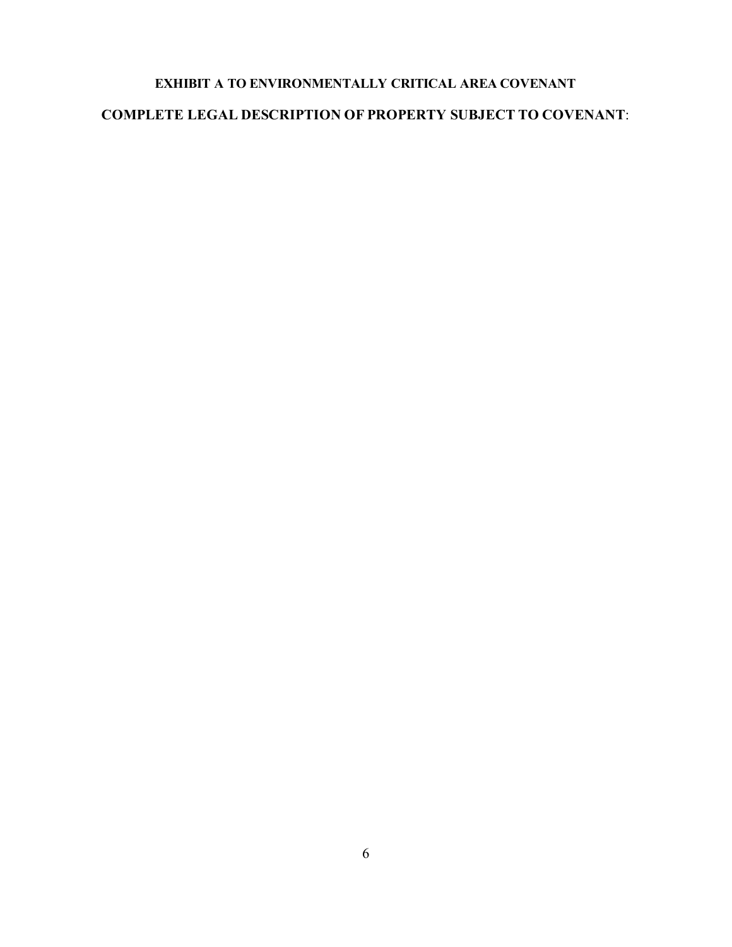# **EXHIBIT A TO ENVIRONMENTALLY CRITICAL AREA COVENANT COMPLETE LEGAL DESCRIPTION OF PROPERTY SUBJECT TO COVENANT**: